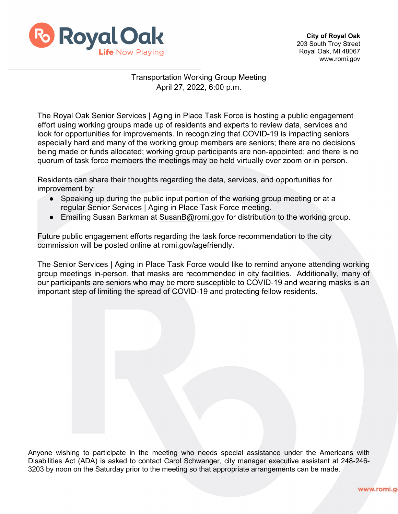

## Transportation Working Group Meeting April 27, 2022, 6:00 p.m.

The Royal Oak Senior Services | Aging in Place Task Force is hosting a public engagement effort using working groups made up of residents and experts to review data, services and look for opportunities for improvements. In recognizing that COVID-19 is impacting seniors especially hard and many of the working group members are seniors; there are no decisions being made or funds allocated; working group participants are non-appointed; and there is no quorum of task force members the meetings may be held virtually over zoom or in person.

Residents can share their thoughts regarding the data, services, and opportunities for improvement by:

- Speaking up during the public input portion of the working group meeting or at a regular Senior Services | Aging in Place Task Force meeting.
- Emailing Susan Barkman at [SusanB@romi.gov](mailto:SusanB@romi.gov) for distribution to the working group.

Future public engagement efforts regarding the task force recommendation to the city commission will be posted online at romi.gov/agefriendly.

The Senior Services | Aging in Place Task Force would like to remind anyone attending working group meetings in-person, that masks are recommended in city facilities. Additionally, many of our participants are seniors who may be more susceptible to COVID-19 and wearing masks is an important step of limiting the spread of COVID-19 and protecting fellow residents.

Anyone wishing to participate in the meeting who needs special assistance under the Americans with Disabilities Act (ADA) is asked to contact Carol Schwanger, city manager executive assistant at 248-246- 3203 by noon on the Saturday prior to the meeting so that appropriate arrangements can be made.